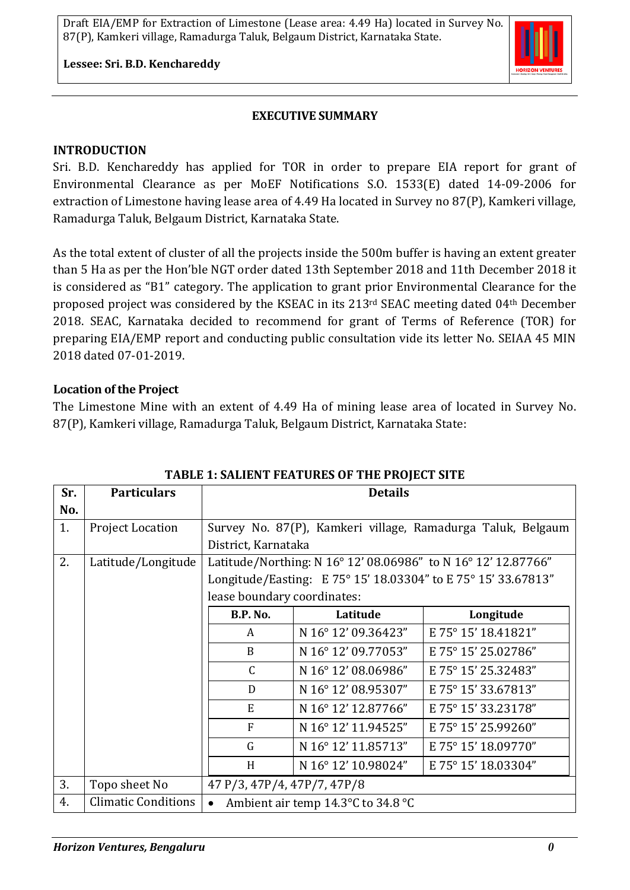#### **Lessee: Sri. B.D. Kenchareddy**

### **EXECUTIVE SUMMARY**

#### **INTRODUCTION**

Sri. B.D. Kenchareddy has applied for TOR in order to prepare EIA report for grant of Environmental Clearance as per MoEF Notifications S.O. 1533(E) dated 14-09-2006 for extraction of Limestone having lease area of 4.49 Ha located in Survey no 87(P), Kamkeri village, Ramadurga Taluk, Belgaum District, Karnataka State.

As the total extent of cluster of all the projects inside the 500m buffer is having an extent greater than 5 Ha as per the Hon'ble NGT order dated 13th September 2018 and 11th December 2018 it is considered as "B1" category. The application to grant prior Environmental Clearance for the proposed project was considered by the KSEAC in its 213rd SEAC meeting dated 04th December 2018. SEAC, Karnataka decided to recommend for grant of Terms of Reference (TOR) for preparing EIA/EMP report and conducting public consultation vide its letter No. SEIAA 45 MIN 2018 dated 07-01-2019.

#### **Location of the Project**

The Limestone Mine with an extent of 4.49 Ha of mining lease area of located in Survey No. 87(P), Kamkeri village, Ramadurga Taluk, Belgaum District, Karnataka State:

| Sr. | <b>Particulars</b>         | <b>Details</b>                                                |                     |                     |
|-----|----------------------------|---------------------------------------------------------------|---------------------|---------------------|
| No. |                            |                                                               |                     |                     |
| 1.  | <b>Project Location</b>    | Survey No. 87(P), Kamkeri village, Ramadurga Taluk, Belgaum   |                     |                     |
|     |                            | District, Karnataka                                           |                     |                     |
| 2.  | Latitude/Longitude         | Latitude/Northing: N 16° 12' 08.06986" to N 16° 12' 12.87766" |                     |                     |
|     |                            | Longitude/Easting: E 75° 15' 18.03304" to E 75° 15' 33.67813" |                     |                     |
|     |                            | lease boundary coordinates:                                   |                     |                     |
|     |                            | <b>B.P. No.</b>                                               | Latitude            | Longitude           |
|     |                            | A                                                             | N 16° 12' 09.36423" | E 75° 15' 18.41821" |
|     |                            | B                                                             | N 16° 12' 09.77053" | E 75° 15' 25.02786" |
|     |                            | $\mathcal{C}$                                                 | N 16° 12' 08.06986" | E 75° 15' 25.32483" |
|     |                            | D                                                             | N 16° 12' 08.95307" | E 75° 15' 33.67813" |
|     |                            | E                                                             | N 16° 12' 12.87766" | E 75° 15' 33.23178" |
|     |                            | F                                                             | N 16° 12' 11.94525" | E 75° 15' 25.99260" |
|     |                            | $\mathsf G$                                                   | N 16° 12' 11.85713" | E 75° 15' 18.09770" |
|     |                            | H                                                             | N 16° 12' 10.98024" | E 75° 15' 18.03304" |
| 3.  | Topo sheet No              | 47 P/3, 47P/4, 47P/7, 47P/8                                   |                     |                     |
| 4.  | <b>Climatic Conditions</b> | Ambient air temp 14.3°C to 34.8 °C<br>$\bullet$               |                     |                     |

#### **TABLE 1: SALIENT FEATURES OF THE PROJECT SITE**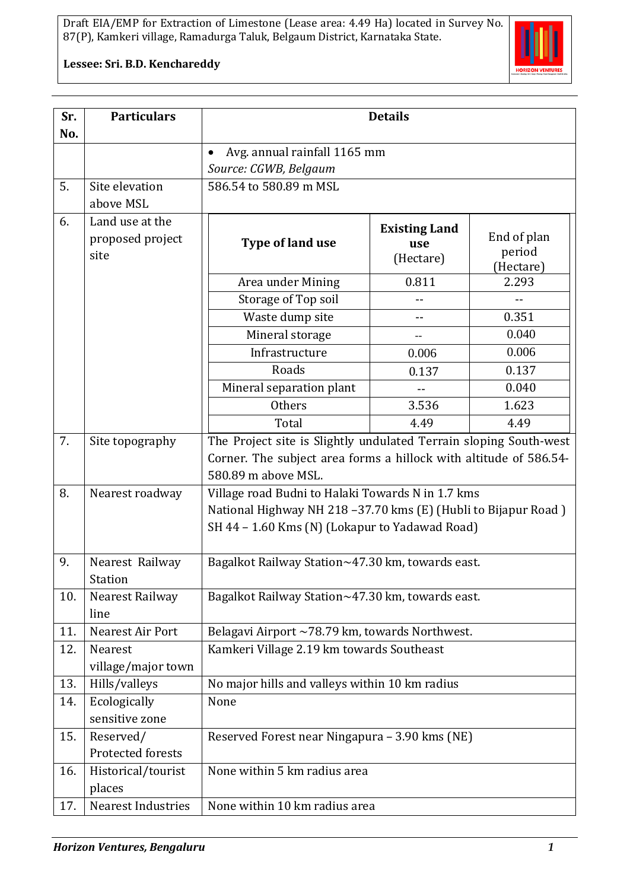

**Lessee: Sri. B.D. Kenchareddy**

| Sr.<br>No. | <b>Particulars</b>                          | <b>Details</b>                                                                                                                                                       |                                          |                                    |
|------------|---------------------------------------------|----------------------------------------------------------------------------------------------------------------------------------------------------------------------|------------------------------------------|------------------------------------|
|            |                                             | Avg. annual rainfall 1165 mm<br>$\bullet$                                                                                                                            |                                          |                                    |
|            |                                             | Source: CGWB, Belgaum                                                                                                                                                |                                          |                                    |
| 5.         | Site elevation<br>above MSL                 | 586.54 to 580.89 m MSL                                                                                                                                               |                                          |                                    |
| 6.         | Land use at the<br>proposed project<br>site | Type of land use                                                                                                                                                     | <b>Existing Land</b><br>use<br>(Hectare) | End of plan<br>period<br>(Hectare) |
|            |                                             | Area under Mining                                                                                                                                                    | 0.811                                    | 2.293                              |
|            |                                             | Storage of Top soil                                                                                                                                                  | --                                       |                                    |
|            |                                             | Waste dump site                                                                                                                                                      | $-$                                      | 0.351                              |
|            |                                             | Mineral storage                                                                                                                                                      |                                          | 0.040                              |
|            |                                             | Infrastructure                                                                                                                                                       | 0.006                                    | 0.006                              |
|            |                                             | Roads                                                                                                                                                                | 0.137                                    | 0.137                              |
|            |                                             | Mineral separation plant                                                                                                                                             |                                          | 0.040                              |
|            |                                             | <b>Others</b>                                                                                                                                                        | 3.536                                    | 1.623                              |
|            |                                             | Total                                                                                                                                                                | 4.49                                     | 4.49                               |
| 7.         | Site topography                             | The Project site is Slightly undulated Terrain sloping South-west<br>Corner. The subject area forms a hillock with altitude of 586.54-<br>580.89 m above MSL.        |                                          |                                    |
| 8.         | Nearest roadway                             | Village road Budni to Halaki Towards N in 1.7 kms<br>National Highway NH 218-37.70 kms (E) (Hubli to Bijapur Road)<br>SH 44 - 1.60 Kms (N) (Lokapur to Yadawad Road) |                                          |                                    |
| 9.         | Nearest Railway<br>Station                  | Bagalkot Railway Station~47.30 km, towards east.                                                                                                                     |                                          |                                    |
| 10.        | Nearest Railway<br>line                     | Bagalkot Railway Station~47.30 km, towards east.                                                                                                                     |                                          |                                    |
| 11.        | Nearest Air Port                            | Belagavi Airport ~78.79 km, towards Northwest.                                                                                                                       |                                          |                                    |
| 12.        | Nearest<br>village/major town               | Kamkeri Village 2.19 km towards Southeast                                                                                                                            |                                          |                                    |
| 13.        | Hills/valleys                               | No major hills and valleys within 10 km radius                                                                                                                       |                                          |                                    |
| 14.        | Ecologically<br>sensitive zone              | None                                                                                                                                                                 |                                          |                                    |
| 15.        | Reserved/<br>Protected forests              | Reserved Forest near Ningapura - 3.90 kms (NE)                                                                                                                       |                                          |                                    |
| 16.        | Historical/tourist<br>places                | None within 5 km radius area                                                                                                                                         |                                          |                                    |
| 17.        | <b>Nearest Industries</b>                   | None within 10 km radius area                                                                                                                                        |                                          |                                    |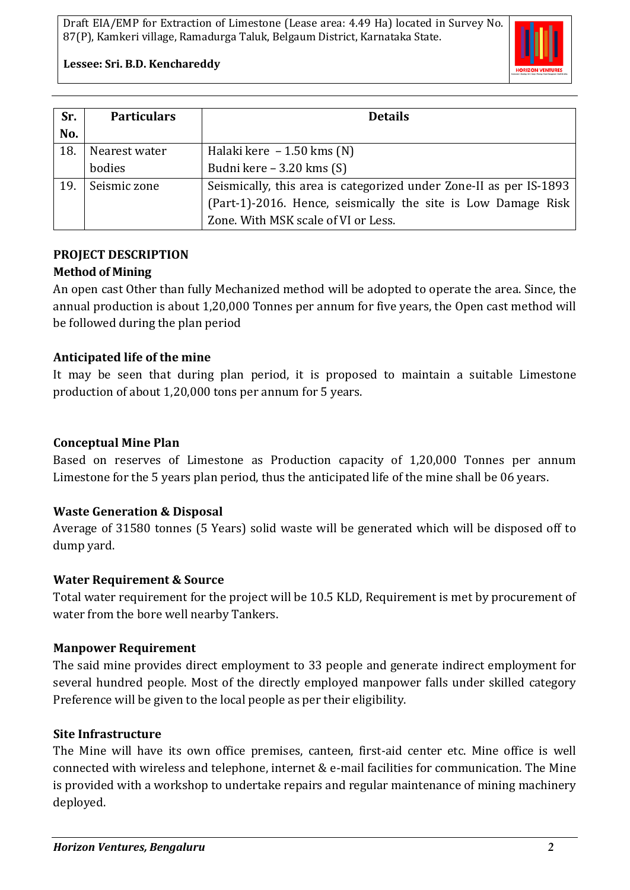

**Lessee: Sri. B.D. Kenchareddy**

| Sr. | <b>Particulars</b> | <b>Details</b>                                                     |
|-----|--------------------|--------------------------------------------------------------------|
| No. |                    |                                                                    |
| 18. | Nearest water      | Halaki kere $-1.50$ kms (N)                                        |
|     | bodies             | Budni kere – 3.20 kms $(S)$                                        |
| 19. | Seismic zone       | Seismically, this area is categorized under Zone-II as per IS-1893 |
|     |                    | (Part-1)-2016. Hence, seismically the site is Low Damage Risk      |
|     |                    | Zone. With MSK scale of VI or Less.                                |

### **PROJECT DESCRIPTION Method of Mining**

An open cast Other than fully Mechanized method will be adopted to operate the area. Since, the annual production is about 1,20,000 Tonnes per annum for five years, the Open cast method will be followed during the plan period

## **Anticipated life of the mine**

It may be seen that during plan period, it is proposed to maintain a suitable Limestone production of about 1,20,000 tons per annum for 5 years.

## **Conceptual Mine Plan**

Based on reserves of Limestone as Production capacity of 1,20,000 Tonnes per annum Limestone for the 5 years plan period, thus the anticipated life of the mine shall be 06 years.

## **Waste Generation & Disposal**

Average of 31580 tonnes (5 Years) solid waste will be generated which will be disposed off to dump yard.

## **Water Requirement & Source**

Total water requirement for the project will be 10.5 KLD, Requirement is met by procurement of water from the bore well nearby Tankers.

## **Manpower Requirement**

The said mine provides direct employment to 33 people and generate indirect employment for several hundred people. Most of the directly employed manpower falls under skilled category Preference will be given to the local people as per their eligibility.

## **Site Infrastructure**

The Mine will have its own office premises, canteen, first-aid center etc. Mine office is well connected with wireless and telephone, internet & e-mail facilities for communication. The Mine is provided with a workshop to undertake repairs and regular maintenance of mining machinery deployed.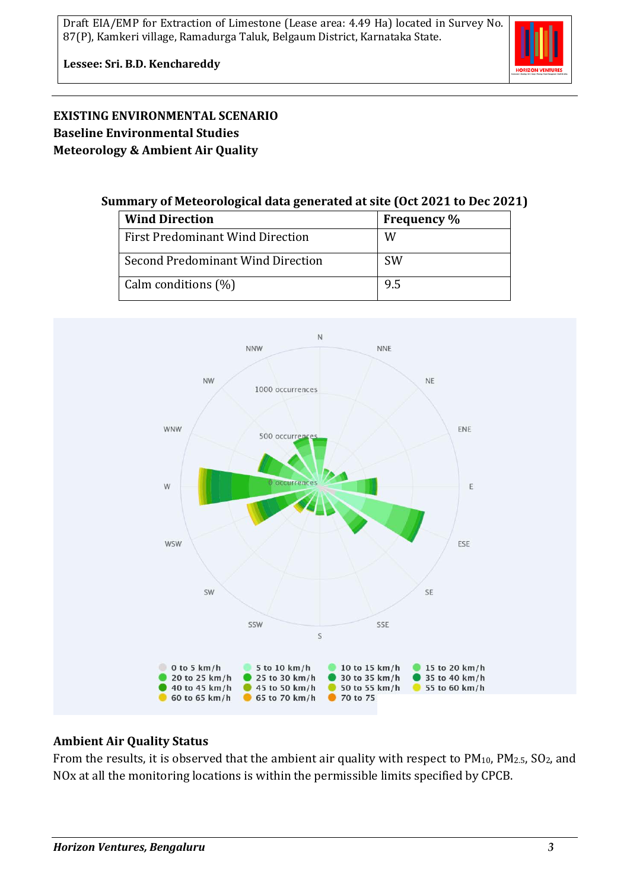

## **EXISTING ENVIRONMENTAL SCENARIO Baseline Environmental Studies Meteorology & Ambient Air Quality**

### **Summary of Meteorological data generated at site (Oct 2021 to Dec 2021)**

| <b>Wind Direction</b>                   | <b>Frequency</b> % |
|-----------------------------------------|--------------------|
| <b>First Predominant Wind Direction</b> | W                  |
| Second Predominant Wind Direction       | <b>SW</b>          |
| Calm conditions (%)                     | 9.5                |



## **Ambient Air Quality Status**

From the results, it is observed that the ambient air quality with respect to PM<sub>10</sub>, PM<sub>2.5</sub>, SO<sub>2</sub>, and NOx at all the monitoring locations is within the permissible limits specified by CPCB.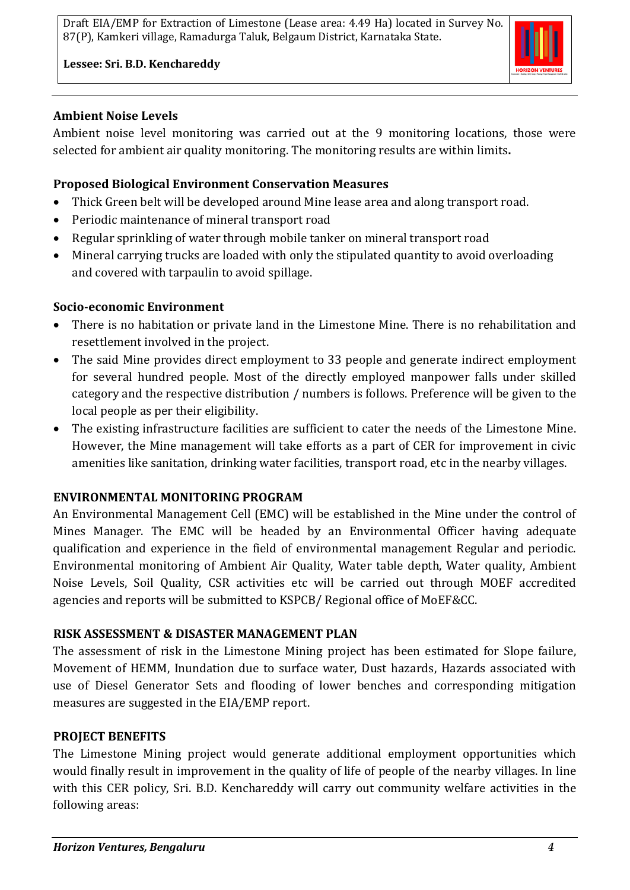

**Lessee: Sri. B.D. Kenchareddy**

### **Ambient Noise Levels**

Ambient noise level monitoring was carried out at the 9 monitoring locations, those were selected for ambient air quality monitoring. The monitoring results are within limits**.**

## **Proposed Biological Environment Conservation Measures**

- Thick Green belt will be developed around Mine lease area and along transport road.
- Periodic maintenance of mineral transport road
- Regular sprinkling of water through mobile tanker on mineral transport road
- Mineral carrying trucks are loaded with only the stipulated quantity to avoid overloading and covered with tarpaulin to avoid spillage.

## **Socio-economic Environment**

- There is no habitation or private land in the Limestone Mine. There is no rehabilitation and resettlement involved in the project.
- The said Mine provides direct employment to 33 people and generate indirect employment for several hundred people. Most of the directly employed manpower falls under skilled category and the respective distribution / numbers is follows. Preference will be given to the local people as per their eligibility.
- The existing infrastructure facilities are sufficient to cater the needs of the Limestone Mine. However, the Mine management will take efforts as a part of CER for improvement in civic amenities like sanitation, drinking water facilities, transport road, etc in the nearby villages.

## **ENVIRONMENTAL MONITORING PROGRAM**

An Environmental Management Cell (EMC) will be established in the Mine under the control of Mines Manager. The EMC will be headed by an Environmental Officer having adequate qualification and experience in the field of environmental management Regular and periodic. Environmental monitoring of Ambient Air Quality, Water table depth, Water quality, Ambient Noise Levels, Soil Quality, CSR activities etc will be carried out through MOEF accredited agencies and reports will be submitted to KSPCB/ Regional office of MoEF&CC.

## **RISK ASSESSMENT & DISASTER MANAGEMENT PLAN**

The assessment of risk in the Limestone Mining project has been estimated for Slope failure, Movement of HEMM, Inundation due to surface water, Dust hazards, Hazards associated with use of Diesel Generator Sets and flooding of lower benches and corresponding mitigation measures are suggested in the EIA/EMP report.

## **PROJECT BENEFITS**

The Limestone Mining project would generate additional employment opportunities which would finally result in improvement in the quality of life of people of the nearby villages. In line with this CER policy, Sri. B.D. Kenchareddy will carry out community welfare activities in the following areas: